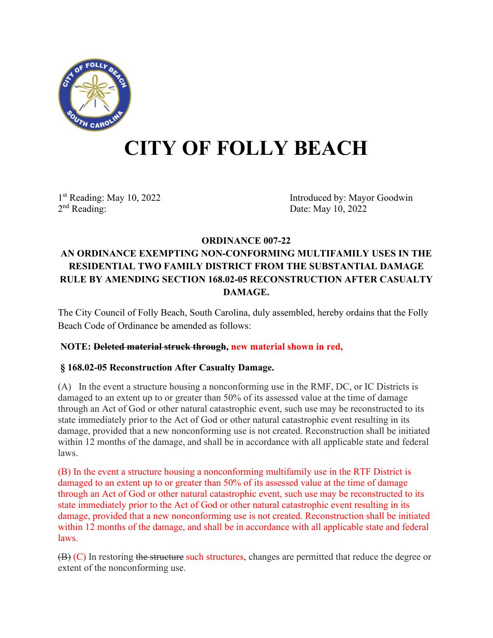

# **CITY OF FOLLY BEACH**

1st Reading: May 10, 2022<br>
2<sup>nd</sup> Reading: 2<sup>nd</sup> Reading: 2<sup>nd</sup> Reading: 2<sup>nd</sup> Reading: 2022 Date: May 10, 2022

# **ORDINANCE 007-22 AN ORDINANCE EXEMPTING NON-CONFORMING MULTIFAMILY USES IN THE RESIDENTIAL TWO FAMILY DISTRICT FROM THE SUBSTANTIAL DAMAGE RULE BY AMENDING SECTION 168.02-05 RECONSTRUCTION AFTER CASUALTY DAMAGE.**

The City Council of Folly Beach, South Carolina, duly assembled, hereby ordains that the Folly Beach Code of Ordinance be amended as follows:

### **NOTE: Deleted material struck through, new material shown in red,**

## **§ 168.02-05 Reconstruction After Casualty Damage.**

(A) In the event a structure housing a nonconforming use in the RMF, DC, or IC Districts is damaged to an extent up to or greater than 50% of its assessed value at the time of damage through an Act of God or other natural catastrophic event, such use may be reconstructed to its state immediately prior to the Act of God or other natural catastrophic event resulting in its damage, provided that a new nonconforming use is not created. Reconstruction shall be initiated within 12 months of the damage, and shall be in accordance with all applicable state and federal laws.

(B) In the event a structure housing a nonconforming multifamily use in the RTF District is damaged to an extent up to or greater than 50% of its assessed value at the time of damage through an Act of God or other natural catastrophic event, such use may be reconstructed to its state immediately prior to the Act of God or other natural catastrophic event resulting in its damage, provided that a new nonconforming use is not created. Reconstruction shall be initiated within 12 months of the damage, and shall be in accordance with all applicable state and federal laws.

(B) (C) In restoring the structure such structures, changes are permitted that reduce the degree or extent of the nonconforming use.